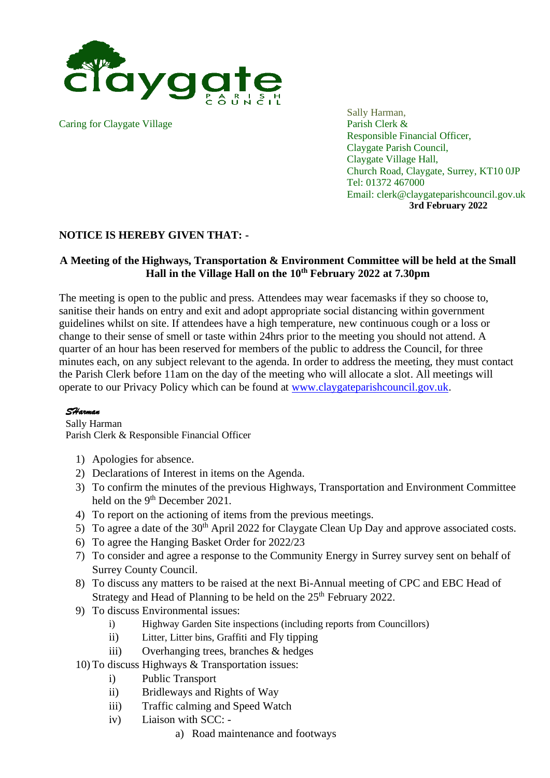

Caring for Claygate Village Parish Clerk &

Sally Harman, Responsible Financial Officer, Claygate Parish Council, Claygate Village Hall, Church Road, Claygate, Surrey, KT10 0JP Tel: 01372 467000 Email: clerk@claygateparishcouncil.gov.uk **3rd February 2022**

## **NOTICE IS HEREBY GIVEN THAT: -**

## **A Meeting of the Highways, Transportation & Environment Committee will be held at the Small Hall in the Village Hall on the 10 th February 2022 at 7.30pm**

The meeting is open to the public and press. Attendees may wear facemasks if they so choose to, sanitise their hands on entry and exit and adopt appropriate social distancing within government guidelines whilst on site. If attendees have a high temperature, new continuous cough or a loss or change to their sense of smell or taste within 24hrs prior to the meeting you should not attend. A quarter of an hour has been reserved for members of the public to address the Council, for three minutes each, on any subject relevant to the agenda. In order to address the meeting, they must contact the Parish Clerk before 11am on the day of the meeting who will allocate a slot. All meetings will operate to our Privacy Policy which can be found at [www.claygateparishcouncil.gov.uk.](http://www.claygateparishcouncil.gov.uk/)

## *SHarman*

Sally Harman Parish Clerk & Responsible Financial Officer

- 1) Apologies for absence.
- 2) Declarations of Interest in items on the Agenda.
- 3) To confirm the minutes of the previous Highways, Transportation and Environment Committee held on the 9<sup>th</sup> December 2021.
- 4) To report on the actioning of items from the previous meetings.
- 5) To agree a date of the  $30<sup>th</sup>$  April 2022 for Claygate Clean Up Day and approve associated costs.
- 6) To agree the Hanging Basket Order for 2022/23
- 7) To consider and agree a response to the Community Energy in Surrey survey sent on behalf of Surrey County Council.
- 8) To discuss any matters to be raised at the next Bi-Annual meeting of CPC and EBC Head of Strategy and Head of Planning to be held on the 25<sup>th</sup> February 2022.
- 9) To discuss Environmental issues:
	- i) Highway Garden Site inspections (including reports from Councillors)
	- ii) Litter, Litter bins, Graffiti and Fly tipping
	- iii) Overhanging trees, branches & hedges
- 10) To discuss Highways & Transportation issues:
	- i) Public Transport
	- ii) Bridleways and Rights of Way
	- iii) Traffic calming and Speed Watch
	- iv) Liaison with SCC:
		- a) Road maintenance and footways